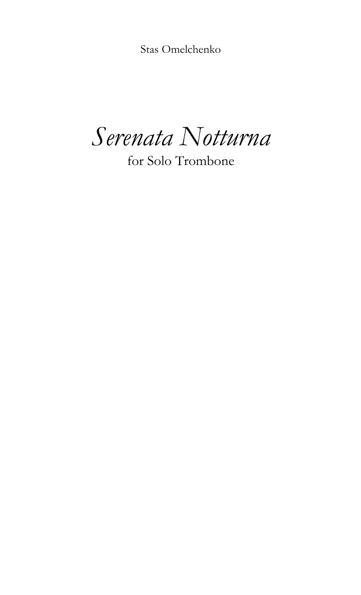Stas Omelchenko

*Serenata Notturna*

for Solo Trombone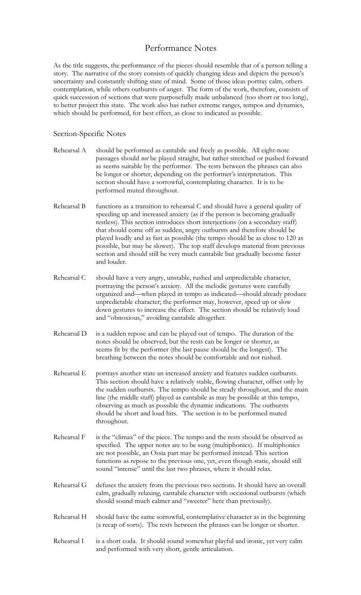## Performance Notes

As the title suggests, the performance of the pieces should resemble that of a person telling a story. The narrative of the story consists of quickly changing ideas and depicts the person's uncertainty and constantly shifting state of mind. Some of those ideas portray calm, others contemplation, while others outbursts of anger. The form of the work, therefore, consists of quick succession of sections that were purposefully made unbalanced (too short or too long), to better project this state. The work also has rather extreme ranges, tempos and dynamics, which should be performed, for best effect, as close to indicated as possible.

## Section-Specific Notes

- Rehearsal A should be performed as cantabile and freely as possible. All eight-note passages should *not* be played straight, but rather stretched or pushed forward as seems suitable by the performer. The rests between the phrases can also be longer or shorter, depending on the performer's interpretation. This section should have a sorrowful, contemplating character. It is to be performed muted throughout.
- Rehearsal B functions as a transition to rehearsal C and should have a general quality of speeding up and increased anxiety (as if the person is becoming gradually restless). This section introduces short interjections (on a secondary staff) that should come off as sudden, angry outbursts and therefore should be played loudly and as fast as possible (the tempo should be as close to 120 as possible, but may be slower). The top staff develops material from previous section and should still be very much cantabile but gradually become faster and louder.
- Rehearsal C should have a very angry, unstable, rushed and unpredictable character, portraying the person's anxiety. All the melodic gestures were carefully organized and—when played in tempo as indicated—should already produce unpredictable character; the performer may, however, speed up or slow down gestures to increase the effect. The section should be relatively loud and "obnoxious," avoiding cantabile altogether.
- Rehearsal D is a sudden repose and can be played out of tempo. The duration of the notes should be observed, but the rests can be longer or shorter, as seems fit by the performer (the last pause should be the longest). The breathing between the notes should be comfortable and not rushed.
- Rehearsal E portrays another state an increased anxiety and features sudden outbursts. This section should have a relatively stable, flowing character, offset only by the sudden outbursts. The tempo should be steady throughout, and the main line (the middle staff) played as cantabile as may be possible at this tempo, observing as much as possible the dynamic indications. The outbursts should be short and loud hits. The section is to be performed muted throughout.
- Rehearsal F is the "climax" of the piece. The tempo and the rests should be observed as specified. The upper notes are to be sung (multiphonics). If multiphonics are not possible, an Ossia part may be performed instead. This section functions as repose to the previous one, yet, even though static, should still sound "intense" until the last two phrases, where it should relax.
- Rehearsal G defuses the anxiety from the previous two sections. It should have an overall calm, gradually relaxing, cantabile character with occasional outbursts (which should sound much calmer and "sweeter" here than previously).
- Rehearsal H should have the same sorrowful, contemplative character as in the beginning (a recap of sorts). The rests between the phrases can be longer or shorter.
- Rehearsal I is a short coda. It should sound somewhat playful and ironic, yet very calm and performed with very short, gentle articulation.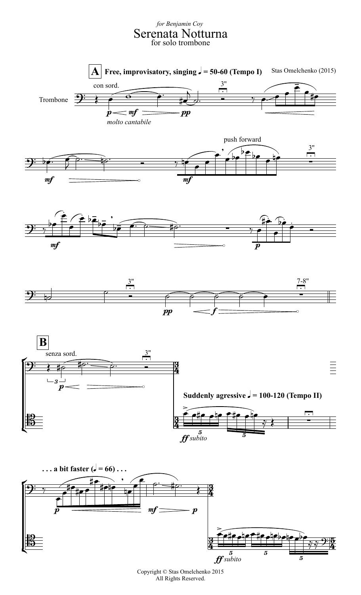## Serenata Notturna *for Benjamin Coy* for solo trombone











Copyright © Stas Omelchenko 2015 All Rights Reserved.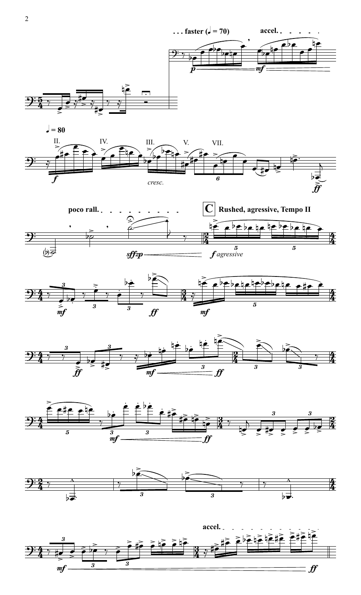



,

 $\widehat{\mathbb{P}^{\mathbb{F}^{\mathbb{C}}}}$ 

œbœ

œ œ

he

œ

 $e^{-\frac{\theta}{2}}$ 











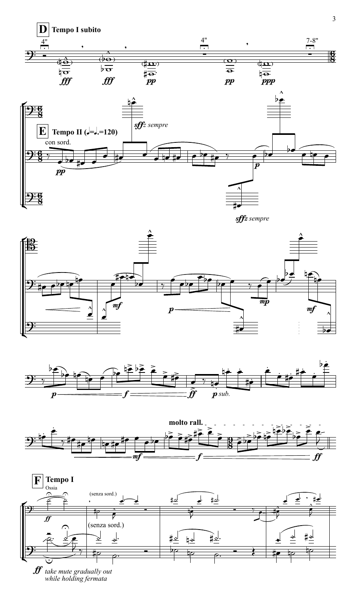











 $\mathbf{f}$  take mute gradually out<br>while holding fermata